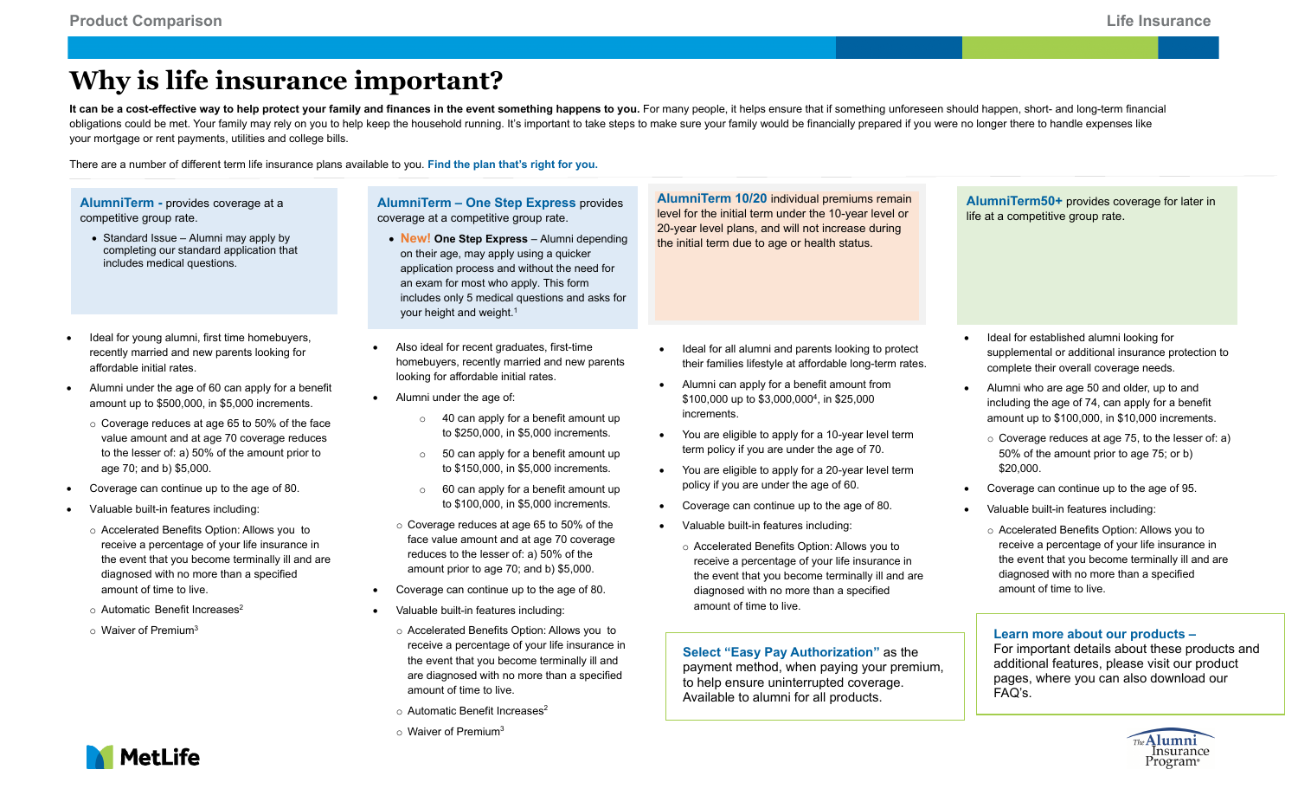## **Why is life insurance important?**

It can be a cost-effective way to help protect your family and finances in the event something happens to you. For many people, it helps ensure that if something unforeseen should happen, short- and long-term financial obligations could be met. Your family may rely on you to help keep the household running. It's important to take steps to make sure your family would be financially prepared if you were no longer there to handle expenses l your mortgage or rent payments, utilities and college bills.

There are a number of different term life insurance plans available to you. **Find the plan that's right for you.**

|           | AlumniTerm - provides coverage at a<br>competitive group rate.<br>• Standard Issue - Alumni may apply by<br>completing our standard application that<br>includes medical questions.                                                                                                                                                                                                                                                                                                                                                                                                                                                                                                                                                                                                                                            | <b>AlumniTerm - One Step Express provides</b><br>coverage at a competitive group rate.<br>• New! One Step Express - Alumni depending<br>on their age, may apply using a quicker<br>application process and without the need for<br>an exam for most who apply. This form<br>includes only 5 medical questions and asks for<br>your height and weight. <sup>1</sup>                                                                                                                                                                                                                                                                                                                                                                                                                                                                                                                                                                                                                                                                                 | AlumniTerm 10/20 individual premiums remain<br>level for the initial term under the 10-year level or<br>20-year level plans, and will not increase during<br>the initial term due to age or health status.                                                                                                                                                                                                                                                                                                                                                                                                                                                                                                                                                                                                                                                                                                                                           | AlumniTerm50+ provides coverage for later in<br>life at a competitive group rate.                                                                                                                                                                                                                                                                                                                                                                                                                                                                                                                                                                                                                                                                                                                                                                                                                                         |
|-----------|--------------------------------------------------------------------------------------------------------------------------------------------------------------------------------------------------------------------------------------------------------------------------------------------------------------------------------------------------------------------------------------------------------------------------------------------------------------------------------------------------------------------------------------------------------------------------------------------------------------------------------------------------------------------------------------------------------------------------------------------------------------------------------------------------------------------------------|----------------------------------------------------------------------------------------------------------------------------------------------------------------------------------------------------------------------------------------------------------------------------------------------------------------------------------------------------------------------------------------------------------------------------------------------------------------------------------------------------------------------------------------------------------------------------------------------------------------------------------------------------------------------------------------------------------------------------------------------------------------------------------------------------------------------------------------------------------------------------------------------------------------------------------------------------------------------------------------------------------------------------------------------------|------------------------------------------------------------------------------------------------------------------------------------------------------------------------------------------------------------------------------------------------------------------------------------------------------------------------------------------------------------------------------------------------------------------------------------------------------------------------------------------------------------------------------------------------------------------------------------------------------------------------------------------------------------------------------------------------------------------------------------------------------------------------------------------------------------------------------------------------------------------------------------------------------------------------------------------------------|---------------------------------------------------------------------------------------------------------------------------------------------------------------------------------------------------------------------------------------------------------------------------------------------------------------------------------------------------------------------------------------------------------------------------------------------------------------------------------------------------------------------------------------------------------------------------------------------------------------------------------------------------------------------------------------------------------------------------------------------------------------------------------------------------------------------------------------------------------------------------------------------------------------------------|
| $\bullet$ | Ideal for young alumni, first time homebuyers,<br>recently married and new parents looking for<br>affordable initial rates.<br>Alumni under the age of 60 can apply for a benefit<br>amount up to \$500,000, in \$5,000 increments.<br>o Coverage reduces at age 65 to 50% of the face<br>value amount and at age 70 coverage reduces<br>to the lesser of: a) 50% of the amount prior to<br>age 70; and b) \$5,000.<br>Coverage can continue up to the age of 80.<br>Valuable built-in features including:<br>o Accelerated Benefits Option: Allows you to<br>receive a percentage of your life insurance in<br>the event that you become terminally ill and are<br>diagnosed with no more than a specified<br>amount of time to live.<br>○ Automatic Benefit Increases <sup>2</sup><br>$\circ$ Waiver of Premium <sup>3</sup> | Also ideal for recent graduates, first-time<br>homebuyers, recently married and new parents<br>looking for affordable initial rates.<br>Alumni under the age of:<br>40 can apply for a benefit amount up<br>$\circ$<br>to \$250,000, in \$5,000 increments.<br>50 can apply for a benefit amount up<br>$\circ$<br>to \$150,000, in \$5,000 increments.<br>60 can apply for a benefit amount up<br>$\circ$<br>to \$100,000, in \$5,000 increments.<br>○ Coverage reduces at age 65 to 50% of the<br>face value amount and at age 70 coverage<br>reduces to the lesser of: a) 50% of the<br>amount prior to age 70; and b) \$5,000.<br>Coverage can continue up to the age of 80.<br>Valuable built-in features including:<br>o Accelerated Benefits Option: Allows you to<br>receive a percentage of your life insurance in<br>the event that you become terminally ill and<br>are diagnosed with no more than a specified<br>amount of time to live.<br>$\circ$ Automatic Benefit Increases <sup>2</sup><br>$\circ$ Waiver of Premium <sup>3</sup> | Ideal for all alumni and parents looking to protect<br>their families lifestyle at affordable long-term rates.<br>Alumni can apply for a benefit amount from<br>\$100,000 up to \$3,000,000 <sup>4</sup> , in \$25,000<br>increments.<br>You are eligible to apply for a 10-year level term<br>term policy if you are under the age of 70.<br>You are eligible to apply for a 20-year level term<br>policy if you are under the age of 60.<br>Coverage can continue up to the age of 80.<br>$\bullet$<br>Valuable built-in features including:<br>o Accelerated Benefits Option: Allows you to<br>receive a percentage of your life insurance in<br>the event that you become terminally ill and are<br>diagnosed with no more than a specified<br>amount of time to live.<br>Select "Easy Pay Authorization" as the<br>payment method, when paying your premium,<br>to help ensure uninterrupted coverage.<br>Available to alumni for all products. | Ideal for established alumni looking for<br>supplemental or additional insurance protection to<br>complete their overall coverage needs.<br>Alumni who are age 50 and older, up to and<br>including the age of 74, can apply for a benefit<br>amount up to \$100,000, in \$10,000 increments.<br>o Coverage reduces at age 75, to the lesser of: a)<br>50% of the amount prior to age 75; or b)<br>\$20,000.<br>Coverage can continue up to the age of 95.<br>Valuable built-in features including:<br>o Accelerated Benefits Option: Allows you to<br>receive a percentage of your life insurance in<br>the event that you become terminally ill and are<br>diagnosed with no more than a specified<br>amount of time to live.<br>Learn more about our products -<br>For important details about these products and<br>additional features, please visit our product<br>pages, where you can also download our<br>FAQ's. |
|           | <b>MetLife</b>                                                                                                                                                                                                                                                                                                                                                                                                                                                                                                                                                                                                                                                                                                                                                                                                                 |                                                                                                                                                                                                                                                                                                                                                                                                                                                                                                                                                                                                                                                                                                                                                                                                                                                                                                                                                                                                                                                    |                                                                                                                                                                                                                                                                                                                                                                                                                                                                                                                                                                                                                                                                                                                                                                                                                                                                                                                                                      | Insurance<br>Program∘                                                                                                                                                                                                                                                                                                                                                                                                                                                                                                                                                                                                                                                                                                                                                                                                                                                                                                     |